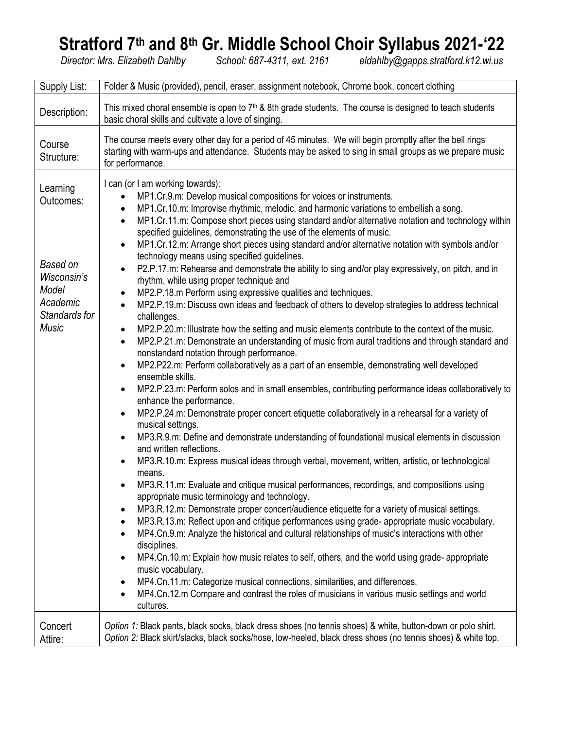# **Stratford 7th and 8th Gr. Middle School Choir Syllabus 2021-'22**

*Director: Mrs. Elizabeth Dahlby School: 687-4311, ext. 2161 [eldahlby@gapps.stratford.k12.wi.us](mailto:eldahlby@gapps.stratford.k12.wi.us)*

| Supply List:                                                                                           | Folder & Music (provided), pencil, eraser, assignment notebook, Chrome book, concert clothing                                                                                                                                                                                                                                                                                                                                                                                                                                                                                                                                                                                                                                                                                                                                                                                                                                                                                                                                                                                                                                                                                                                                                                                                                                                                                                                                                                                                                                                                                                                                                                                                                                                                                                                                                                                                                                                                                                                                                                                                                                                                                                                                                                                                                                                                                                                                                                                                                                                                                                                                                                                                                                                                                                       |  |  |  |  |  |  |
|--------------------------------------------------------------------------------------------------------|-----------------------------------------------------------------------------------------------------------------------------------------------------------------------------------------------------------------------------------------------------------------------------------------------------------------------------------------------------------------------------------------------------------------------------------------------------------------------------------------------------------------------------------------------------------------------------------------------------------------------------------------------------------------------------------------------------------------------------------------------------------------------------------------------------------------------------------------------------------------------------------------------------------------------------------------------------------------------------------------------------------------------------------------------------------------------------------------------------------------------------------------------------------------------------------------------------------------------------------------------------------------------------------------------------------------------------------------------------------------------------------------------------------------------------------------------------------------------------------------------------------------------------------------------------------------------------------------------------------------------------------------------------------------------------------------------------------------------------------------------------------------------------------------------------------------------------------------------------------------------------------------------------------------------------------------------------------------------------------------------------------------------------------------------------------------------------------------------------------------------------------------------------------------------------------------------------------------------------------------------------------------------------------------------------------------------------------------------------------------------------------------------------------------------------------------------------------------------------------------------------------------------------------------------------------------------------------------------------------------------------------------------------------------------------------------------------------------------------------------------------------------------------------------------------|--|--|--|--|--|--|
| Description:                                                                                           | This mixed choral ensemble is open to $7th$ & 8th grade students. The course is designed to teach students<br>basic choral skills and cultivate a love of singing.                                                                                                                                                                                                                                                                                                                                                                                                                                                                                                                                                                                                                                                                                                                                                                                                                                                                                                                                                                                                                                                                                                                                                                                                                                                                                                                                                                                                                                                                                                                                                                                                                                                                                                                                                                                                                                                                                                                                                                                                                                                                                                                                                                                                                                                                                                                                                                                                                                                                                                                                                                                                                                  |  |  |  |  |  |  |
| Course<br>Structure:                                                                                   | The course meets every other day for a period of 45 minutes. We will begin promptly after the bell rings<br>starting with warm-ups and attendance. Students may be asked to sing in small groups as we prepare music<br>for performance.                                                                                                                                                                                                                                                                                                                                                                                                                                                                                                                                                                                                                                                                                                                                                                                                                                                                                                                                                                                                                                                                                                                                                                                                                                                                                                                                                                                                                                                                                                                                                                                                                                                                                                                                                                                                                                                                                                                                                                                                                                                                                                                                                                                                                                                                                                                                                                                                                                                                                                                                                            |  |  |  |  |  |  |
| Learning<br>Outcomes:<br>Based on<br>Wisconsin's<br>Model<br>Academic<br>Standards for<br><b>Music</b> | I can (or I am working towards):<br>MP1.Cr.9.m: Develop musical compositions for voices or instruments.<br>MP1.Cr.10.m: Improvise rhythmic, melodic, and harmonic variations to embellish a song.<br>$\bullet$<br>MP1.Cr.11.m: Compose short pieces using standard and/or alternative notation and technology within<br>$\bullet$<br>specified guidelines, demonstrating the use of the elements of music.<br>MP1.Cr.12.m: Arrange short pieces using standard and/or alternative notation with symbols and/or<br>$\bullet$<br>technology means using specified guidelines.<br>P2.P.17.m: Rehearse and demonstrate the ability to sing and/or play expressively, on pitch, and in<br>$\bullet$<br>rhythm, while using proper technique and<br>MP2.P.18.m Perform using expressive qualities and techniques.<br>$\bullet$<br>MP2.P.19.m: Discuss own ideas and feedback of others to develop strategies to address technical<br>$\bullet$<br>challenges.<br>MP2.P.20.m: Illustrate how the setting and music elements contribute to the context of the music.<br>$\bullet$<br>MP2.P.21.m: Demonstrate an understanding of music from aural traditions and through standard and<br>$\bullet$<br>nonstandard notation through performance.<br>MP2.P22.m: Perform collaboratively as a part of an ensemble, demonstrating well developed<br>$\bullet$<br>ensemble skills.<br>MP2.P.23.m: Perform solos and in small ensembles, contributing performance ideas collaboratively to<br>$\bullet$<br>enhance the performance.<br>MP2.P.24.m: Demonstrate proper concert etiquette collaboratively in a rehearsal for a variety of<br>$\bullet$<br>musical settings.<br>MP3.R.9.m: Define and demonstrate understanding of foundational musical elements in discussion<br>$\bullet$<br>and written reflections.<br>MP3.R.10.m: Express musical ideas through verbal, movement, written, artistic, or technological<br>$\bullet$<br>means.<br>MP3.R.11.m: Evaluate and critique musical performances, recordings, and compositions using<br>appropriate music terminology and technology.<br>MP3.R.12.m: Demonstrate proper concert/audience etiquette for a variety of musical settings.<br>$\bullet$<br>MP3.R.13.m: Reflect upon and critique performances using grade- appropriate music vocabulary.<br>$\bullet$<br>MP4.Cn.9.m: Analyze the historical and cultural relationships of music's interactions with other<br>$\bullet$<br>disciplines.<br>MP4.Cn.10.m: Explain how music relates to self, others, and the world using grade-appropriate<br>$\bullet$<br>music vocabulary.<br>MP4.Cn.11.m: Categorize musical connections, similarities, and differences.<br>$\bullet$<br>MP4.Cn.12.m Compare and contrast the roles of musicians in various music settings and world<br>$\bullet$<br>cultures. |  |  |  |  |  |  |
| Concert<br>Attire:                                                                                     | Option 1: Black pants, black socks, black dress shoes (no tennis shoes) & white, button-down or polo shirt.<br>Option 2: Black skirt/slacks, black socks/hose, low-heeled, black dress shoes (no tennis shoes) & white top.                                                                                                                                                                                                                                                                                                                                                                                                                                                                                                                                                                                                                                                                                                                                                                                                                                                                                                                                                                                                                                                                                                                                                                                                                                                                                                                                                                                                                                                                                                                                                                                                                                                                                                                                                                                                                                                                                                                                                                                                                                                                                                                                                                                                                                                                                                                                                                                                                                                                                                                                                                         |  |  |  |  |  |  |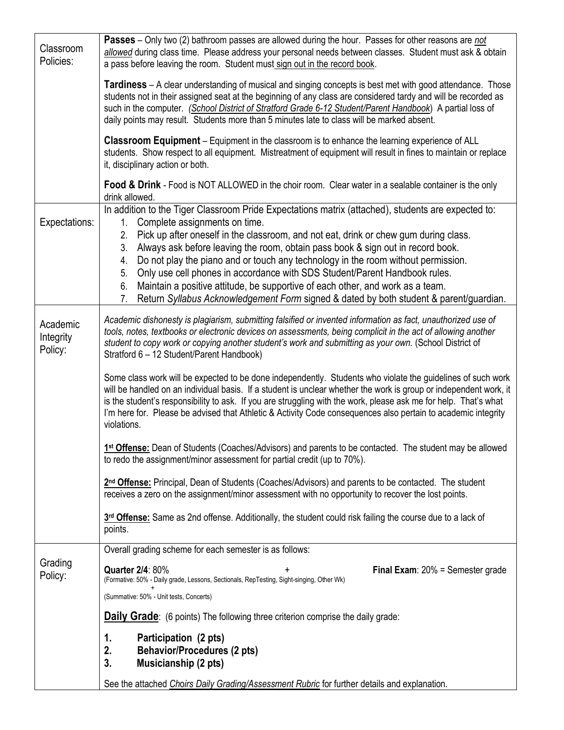| Classroom<br>Policies:           | <b>Passes</b> – Only two (2) bathroom passes are allowed during the hour. Passes for other reasons are <i>not</i><br>allowed during class time. Please address your personal needs between classes. Student must ask & obtain<br>a pass before leaving the room. Student must sign out in the record book.                                                                                                                                                                                                                                                                                                                                                                                              |  |  |  |  |  |  |
|----------------------------------|---------------------------------------------------------------------------------------------------------------------------------------------------------------------------------------------------------------------------------------------------------------------------------------------------------------------------------------------------------------------------------------------------------------------------------------------------------------------------------------------------------------------------------------------------------------------------------------------------------------------------------------------------------------------------------------------------------|--|--|--|--|--|--|
|                                  | <b>Tardiness</b> – A clear understanding of musical and singing concepts is best met with good attendance. Those<br>students not in their assigned seat at the beginning of any class are considered tardy and will be recorded as<br>such in the computer. (School District of Stratford Grade 6-12 Student/Parent Handbook) A partial loss of<br>daily points may result. Students more than 5 minutes late to class will be marked absent.                                                                                                                                                                                                                                                           |  |  |  |  |  |  |
|                                  | <b>Classroom Equipment</b> – Equipment in the classroom is to enhance the learning experience of ALL<br>students. Show respect to all equipment. Mistreatment of equipment will result in fines to maintain or replace<br>it, disciplinary action or both.                                                                                                                                                                                                                                                                                                                                                                                                                                              |  |  |  |  |  |  |
|                                  | Food & Drink - Food is NOT ALLOWED in the choir room. Clear water in a sealable container is the only<br>drink allowed.                                                                                                                                                                                                                                                                                                                                                                                                                                                                                                                                                                                 |  |  |  |  |  |  |
| Expectations:                    | In addition to the Tiger Classroom Pride Expectations matrix (attached), students are expected to:<br>Complete assignments on time.<br>1.<br>Pick up after oneself in the classroom, and not eat, drink or chew gum during class.<br>2.<br>Always ask before leaving the room, obtain pass book & sign out in record book.<br>3.<br>Do not play the piano and or touch any technology in the room without permission.<br>4.<br>Only use cell phones in accordance with SDS Student/Parent Handbook rules.<br>5.<br>Maintain a positive attitude, be supportive of each other, and work as a team.<br>6.<br>Return Syllabus Acknowledgement Form signed & dated by both student & parent/guardian.<br>7. |  |  |  |  |  |  |
| Academic<br>Integrity<br>Policy: | Academic dishonesty is plagiarism, submitting falsified or invented information as fact, unauthorized use of<br>tools, notes, textbooks or electronic devices on assessments, being complicit in the act of allowing another<br>student to copy work or copying another student's work and submitting as your own. (School District of<br>Stratford 6 - 12 Student/Parent Handbook)                                                                                                                                                                                                                                                                                                                     |  |  |  |  |  |  |
|                                  | Some class work will be expected to be done independently. Students who violate the guidelines of such work<br>will be handled on an individual basis. If a student is unclear whether the work is group or independent work, it<br>is the student's responsibility to ask. If you are struggling with the work, please ask me for help. That's what<br>I'm here for. Please be advised that Athletic & Activity Code consequences also pertain to academic integrity<br>violations.                                                                                                                                                                                                                    |  |  |  |  |  |  |
|                                  | 1 <sup>st</sup> Offense: Dean of Students (Coaches/Advisors) and parents to be contacted. The student may be allowed<br>to redo the assignment/minor assessment for partial credit (up to 70%).                                                                                                                                                                                                                                                                                                                                                                                                                                                                                                         |  |  |  |  |  |  |
|                                  | 2 <sup>nd</sup> Offense: Principal, Dean of Students (Coaches/Advisors) and parents to be contacted. The student<br>receives a zero on the assignment/minor assessment with no opportunity to recover the lost points.                                                                                                                                                                                                                                                                                                                                                                                                                                                                                  |  |  |  |  |  |  |
|                                  | 3rd Offense: Same as 2nd offense. Additionally, the student could risk failing the course due to a lack of<br>points.                                                                                                                                                                                                                                                                                                                                                                                                                                                                                                                                                                                   |  |  |  |  |  |  |
| Grading<br>Policy:               | Overall grading scheme for each semester is as follows:                                                                                                                                                                                                                                                                                                                                                                                                                                                                                                                                                                                                                                                 |  |  |  |  |  |  |
|                                  | <b>Quarter 2/4: 80%</b><br><b>Final Exam:</b> $20%$ = Semester grade<br>(Formative: 50% - Daily grade, Lessons, Sectionals, RepTesting, Sight-singing, Other Wk)                                                                                                                                                                                                                                                                                                                                                                                                                                                                                                                                        |  |  |  |  |  |  |
|                                  | (Summative: 50% - Unit tests, Concerts)                                                                                                                                                                                                                                                                                                                                                                                                                                                                                                                                                                                                                                                                 |  |  |  |  |  |  |
|                                  | <b>Daily Grade:</b> (6 points) The following three criterion comprise the daily grade:                                                                                                                                                                                                                                                                                                                                                                                                                                                                                                                                                                                                                  |  |  |  |  |  |  |
|                                  | Participation (2 pts)<br>1.<br><b>Behavior/Procedures (2 pts)</b><br>2.<br>3.<br>Musicianship (2 pts)                                                                                                                                                                                                                                                                                                                                                                                                                                                                                                                                                                                                   |  |  |  |  |  |  |
|                                  | See the attached Choirs Daily Grading/Assessment Rubric for further details and explanation.                                                                                                                                                                                                                                                                                                                                                                                                                                                                                                                                                                                                            |  |  |  |  |  |  |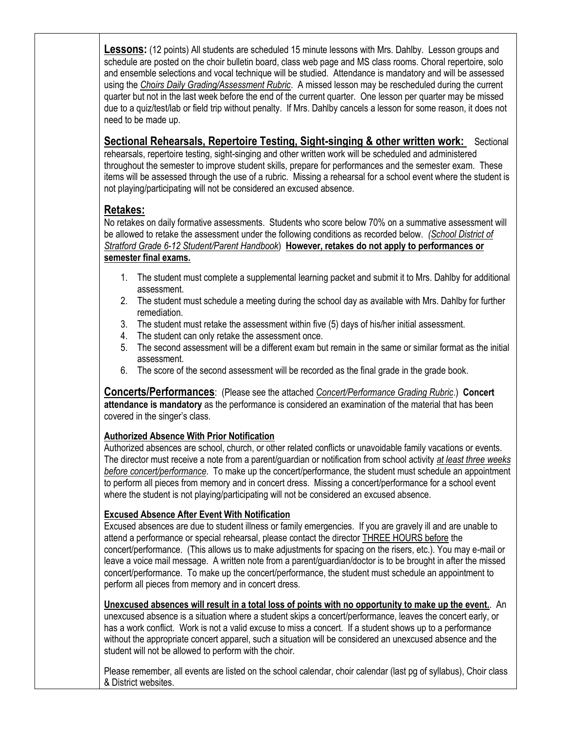**Lessons:** (12 points) All students are scheduled 15 minute lessons with Mrs. Dahlby. Lesson groups and schedule are posted on the choir bulletin board, class web page and MS class rooms. Choral repertoire, solo and ensemble selections and vocal technique will be studied. Attendance is mandatory and will be assessed using the *Ch*o*irs Daily Grading/Assessment Rubric*. A missed lesson may be rescheduled during the current quarter but not in the last week before the end of the current quarter. One lesson per quarter may be missed due to a quiz/test/lab or field trip without penalty. If Mrs. Dahlby cancels a lesson for some reason, it does not need to be made up.

### **Sectional Rehearsals, Repertoire Testing, Sight-singing & other written work:** Sectional

rehearsals, repertoire testing, sight-singing and other written work will be scheduled and administered throughout the semester to improve student skills, prepare for performances and the semester exam. These items will be assessed through the use of a rubric. Missing a rehearsal for a school event where the student is not playing/participating will not be considered an excused absence.

## **Retakes:**

No retakes on daily formative assessments. Students who score below 70% on a summative assessment will be allowed to retake the assessment under the following conditions as recorded below. *(School District of Stratford Grade 6-12 Student/Parent Handbook*) **However, retakes do not apply to performances or semester final exams.**

- 1. The student must complete a supplemental learning packet and submit it to Mrs. Dahlby for additional assessment.
- 2. The student must schedule a meeting during the school day as available with Mrs. Dahlby for further remediation.
- 3. The student must retake the assessment within five (5) days of his/her initial assessment.
- 4. The student can only retake the assessment once.
- 5. The second assessment will be a different exam but remain in the same or similar format as the initial assessment.
- 6. The score of the second assessment will be recorded as the final grade in the grade book.

**Concerts/Performances**: (Please see the attached *Concert/Performance Grading Rubric*.) **Concert attendance is mandatory** as the performance is considered an examination of the material that has been covered in the singer's class.

#### **Authorized Absence With Prior Notification**

Authorized absences are school, church, or other related conflicts or unavoidable family vacations or events. The director must receive a note from a parent/guardian or notification from school activity *at least three weeks before concert/performance*. To make up the concert/performance, the student must schedule an appointment to perform all pieces from memory and in concert dress. Missing a concert/performance for a school event where the student is not playing/participating will not be considered an excused absence.

#### **Excused Absence After Event With Notification**

Excused absences are due to student illness or family emergencies. If you are gravely ill and are unable to attend a performance or special rehearsal, please contact the director THREE HOURS before the concert/performance. (This allows us to make adjustments for spacing on the risers, etc.). You may e-mail or leave a voice mail message. A written note from a parent/guardian/doctor is to be brought in after the missed concert/performance. To make up the concert/performance, the student must schedule an appointment to perform all pieces from memory and in concert dress.

#### **Unexcused absences will result in a total loss of points with no opportunity to make up the event.**. An

unexcused absence is a situation where a student skips a concert/performance, leaves the concert early, or has a work conflict. Work is not a valid excuse to miss a concert. If a student shows up to a performance without the appropriate concert apparel, such a situation will be considered an unexcused absence and the student will not be allowed to perform with the choir.

Please remember, all events are listed on the school calendar, choir calendar (last pg of syllabus), Choir class & District websites.